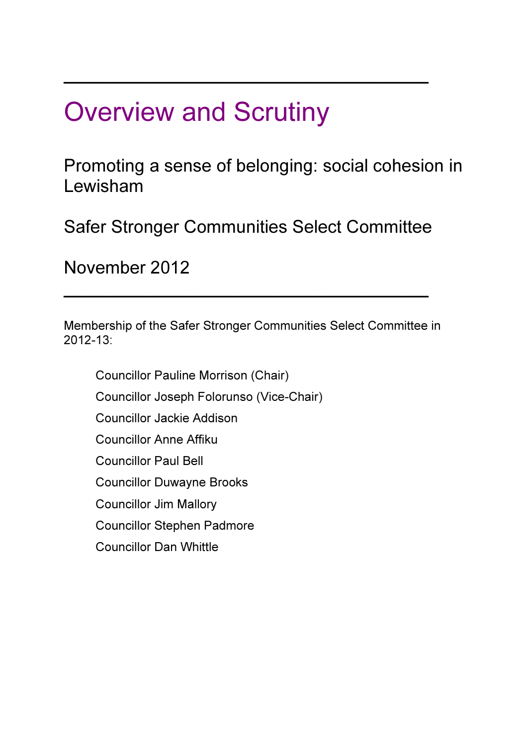# \_\_\_\_\_\_\_\_\_\_\_\_\_\_\_\_\_\_\_\_\_\_\_\_\_\_\_\_\_\_\_\_\_\_\_\_\_ Overview and Scrutiny

Promoting a sense of belonging: social cohesion in Lewisham

Safer Stronger Communities Select Committee

November 2012

Membership of the Safer Stronger Communities Select Committee in 2012-13:

\_\_\_\_\_\_\_\_\_\_\_\_\_\_\_\_\_\_\_\_\_\_\_\_\_\_\_\_\_\_\_\_\_\_\_\_\_

Councillor Pauline Morrison (Chair) Councillor Joseph Folorunso (Vice-Chair) Councillor Jackie Addison Councillor Anne Affiku Councillor Paul Bell Councillor Duwayne Brooks Councillor Jim Mallory Councillor Stephen Padmore Councillor Dan Whittle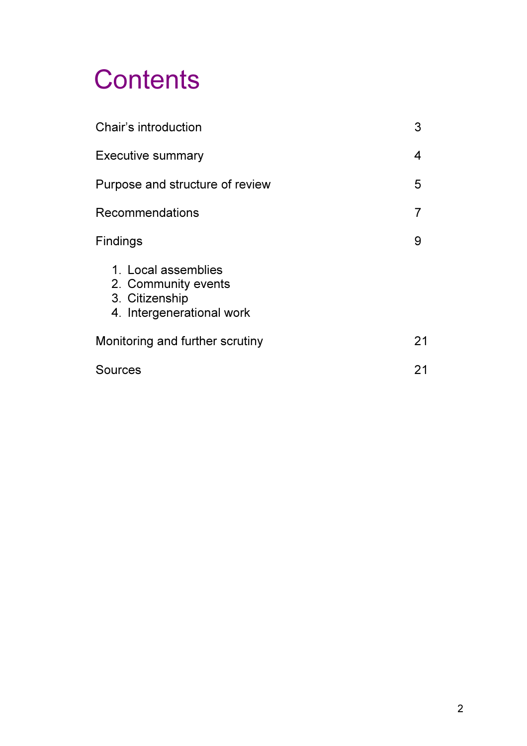# **Contents**

| Chair's introduction                                                                      |    |
|-------------------------------------------------------------------------------------------|----|
| <b>Executive summary</b>                                                                  | 4  |
| Purpose and structure of review                                                           | 5  |
| <b>Recommendations</b>                                                                    | 7  |
| Findings                                                                                  | 9  |
| 1. Local assemblies<br>2. Community events<br>3. Citizenship<br>4. Intergenerational work |    |
| Monitoring and further scrutiny                                                           | 21 |
| Sources                                                                                   | 21 |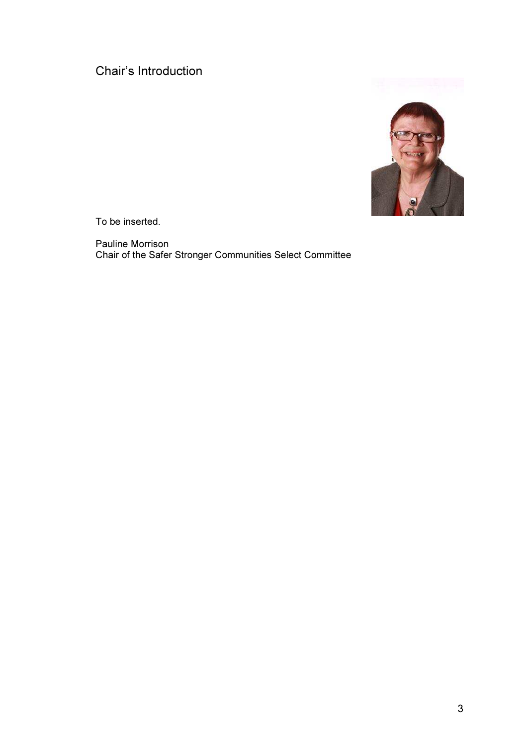# Chair's Introduction



To be inserted.

Pauline Morrison Chair of the Safer Stronger Communities Select Committee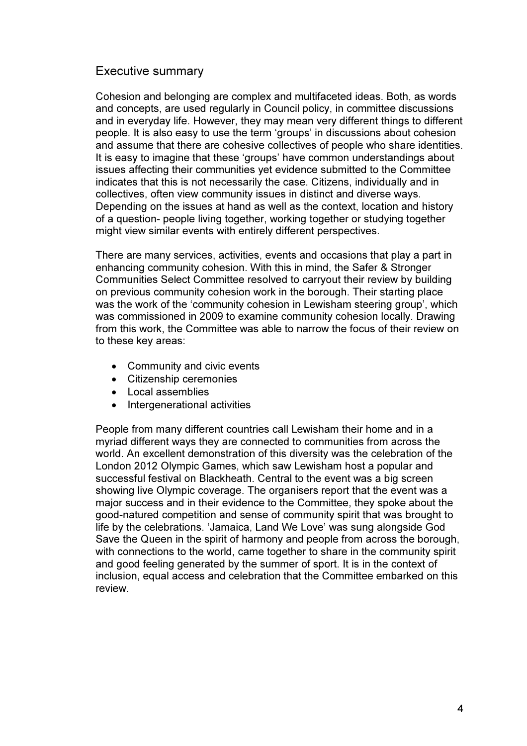# Executive summary

Cohesion and belonging are complex and multifaceted ideas. Both, as words and concepts, are used regularly in Council policy, in committee discussions and in everyday life. However, they may mean very different things to different people. It is also easy to use the term 'groups' in discussions about cohesion and assume that there are cohesive collectives of people who share identities. It is easy to imagine that these 'groups' have common understandings about issues affecting their communities yet evidence submitted to the Committee indicates that this is not necessarily the case. Citizens, individually and in collectives, often view community issues in distinct and diverse ways. Depending on the issues at hand as well as the context, location and history of a question- people living together, working together or studying together might view similar events with entirely different perspectives.

There are many services, activities, events and occasions that play a part in enhancing community cohesion. With this in mind, the Safer & Stronger Communities Select Committee resolved to carryout their review by building on previous community cohesion work in the borough. Their starting place was the work of the 'community cohesion in Lewisham steering group', which was commissioned in 2009 to examine community cohesion locally. Drawing from this work, the Committee was able to narrow the focus of their review on to these key areas:

- Community and civic events
- Citizenship ceremonies
- Local assemblies
- Intergenerational activities

People from many different countries call Lewisham their home and in a myriad different ways they are connected to communities from across the world. An excellent demonstration of this diversity was the celebration of the London 2012 Olympic Games, which saw Lewisham host a popular and successful festival on Blackheath. Central to the event was a big screen showing live Olympic coverage. The organisers report that the event was a major success and in their evidence to the Committee, they spoke about the good-natured competition and sense of community spirit that was brought to life by the celebrations. 'Jamaica, Land We Love' was sung alongside God Save the Queen in the spirit of harmony and people from across the borough, with connections to the world, came together to share in the community spirit and good feeling generated by the summer of sport. It is in the context of inclusion, equal access and celebration that the Committee embarked on this review.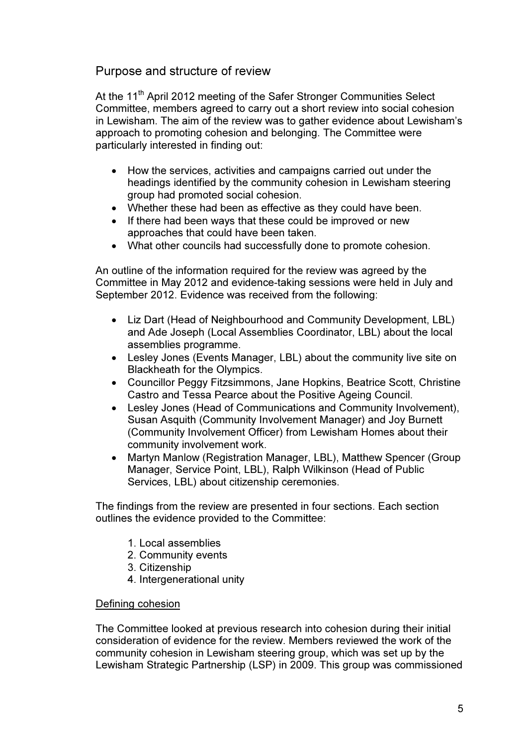# Purpose and structure of review

At the 11<sup>th</sup> April 2012 meeting of the Safer Stronger Communities Select Committee, members agreed to carry out a short review into social cohesion in Lewisham. The aim of the review was to gather evidence about Lewisham's approach to promoting cohesion and belonging. The Committee were particularly interested in finding out:

- How the services, activities and campaigns carried out under the headings identified by the community cohesion in Lewisham steering group had promoted social cohesion.
- Whether these had been as effective as they could have been.
- If there had been ways that these could be improved or new approaches that could have been taken.
- What other councils had successfully done to promote cohesion.

An outline of the information required for the review was agreed by the Committee in May 2012 and evidence-taking sessions were held in July and September 2012. Evidence was received from the following:

- Liz Dart (Head of Neighbourhood and Community Development, LBL) and Ade Joseph (Local Assemblies Coordinator, LBL) about the local assemblies programme.
- Lesley Jones (Events Manager, LBL) about the community live site on Blackheath for the Olympics.
- Councillor Peggy Fitzsimmons, Jane Hopkins, Beatrice Scott, Christine Castro and Tessa Pearce about the Positive Ageing Council.
- Lesley Jones (Head of Communications and Community Involvement), Susan Asquith (Community Involvement Manager) and Joy Burnett (Community Involvement Officer) from Lewisham Homes about their community involvement work.
- Martyn Manlow (Registration Manager, LBL), Matthew Spencer (Group Manager, Service Point, LBL), Ralph Wilkinson (Head of Public Services, LBL) about citizenship ceremonies.

The findings from the review are presented in four sections. Each section outlines the evidence provided to the Committee:

- 1. Local assemblies
- 2. Community events
- 3. Citizenship
- 4. Intergenerational unity

# Defining cohesion

The Committee looked at previous research into cohesion during their initial consideration of evidence for the review. Members reviewed the work of the community cohesion in Lewisham steering group, which was set up by the Lewisham Strategic Partnership (LSP) in 2009. This group was commissioned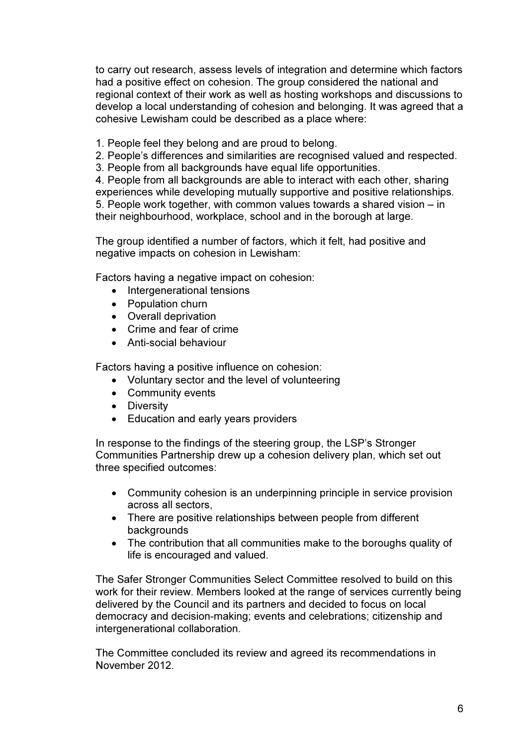to carry out research, assess levels of integration and determine which factors had a positive effect on cohesion. The group considered the national and regional context of their work as well as hosting workshops and discussions to develop a local understanding of cohesion and belonging. It was agreed that a cohesive Lewisham could be described as a place where:

- 1. People feel they belong and are proud to belong.
- 2. People's differences and similarities are recognised valued and respected.
- 3. People from all backgrounds have equal life opportunities.

4. People from all backgrounds are able to interact with each other, sharing experiences while developing mutually supportive and positive relationships. 5. People work together, with common values towards a shared vision – in their neighbourhood, workplace, school and in the borough at large.

The group identified a number of factors, which it felt, had positive and negative impacts on cohesion in Lewisham:

Factors having a negative impact on cohesion:

- Intergenerational tensions
- Population churn
- Overall deprivation
- Crime and fear of crime
- Anti-social behaviour

Factors having a positive influence on cohesion:

- Voluntary sector and the level of volunteering
- Community events
- Diversity
- Education and early years providers

In response to the findings of the steering group, the LSP's Stronger Communities Partnership drew up a cohesion delivery plan, which set out three specified outcomes:

- Community cohesion is an underpinning principle in service provision across all sectors,
- There are positive relationships between people from different backgrounds
- The contribution that all communities make to the boroughs quality of life is encouraged and valued.

The Safer Stronger Communities Select Committee resolved to build on this work for their review. Members looked at the range of services currently being delivered by the Council and its partners and decided to focus on local democracy and decision-making; events and celebrations; citizenship and intergenerational collaboration.

The Committee concluded its review and agreed its recommendations in November 2012.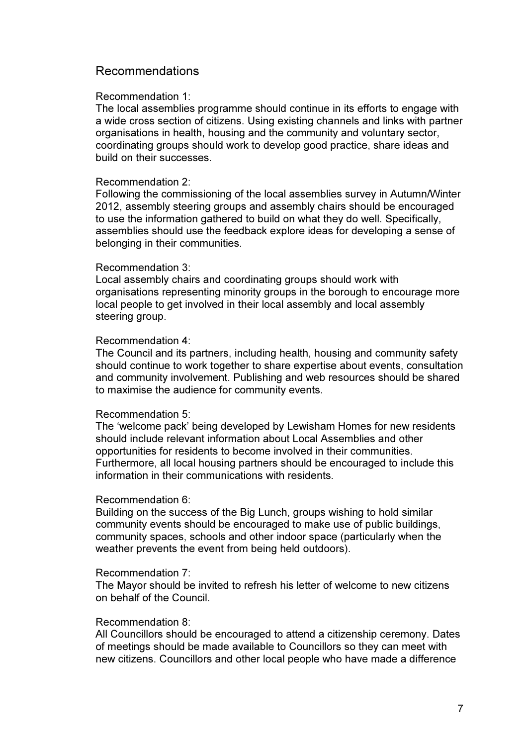# Recommendations

#### Recommendation 1:

The local assemblies programme should continue in its efforts to engage with a wide cross section of citizens. Using existing channels and links with partner organisations in health, housing and the community and voluntary sector, coordinating groups should work to develop good practice, share ideas and build on their successes.

#### Recommendation 2:

Following the commissioning of the local assemblies survey in Autumn/Winter 2012, assembly steering groups and assembly chairs should be encouraged to use the information gathered to build on what they do well. Specifically, assemblies should use the feedback explore ideas for developing a sense of belonging in their communities.

#### Recommendation 3:

Local assembly chairs and coordinating groups should work with organisations representing minority groups in the borough to encourage more local people to get involved in their local assembly and local assembly steering group.

#### Recommendation 4:

The Council and its partners, including health, housing and community safety should continue to work together to share expertise about events, consultation and community involvement. Publishing and web resources should be shared to maximise the audience for community events.

#### Recommendation 5:

The 'welcome pack' being developed by Lewisham Homes for new residents should include relevant information about Local Assemblies and other opportunities for residents to become involved in their communities. Furthermore, all local housing partners should be encouraged to include this information in their communications with residents.

#### Recommendation 6:

Building on the success of the Big Lunch, groups wishing to hold similar community events should be encouraged to make use of public buildings, community spaces, schools and other indoor space (particularly when the weather prevents the event from being held outdoors).

#### Recommendation 7:

The Mayor should be invited to refresh his letter of welcome to new citizens on behalf of the Council.

#### Recommendation 8:

All Councillors should be encouraged to attend a citizenship ceremony. Dates of meetings should be made available to Councillors so they can meet with new citizens. Councillors and other local people who have made a difference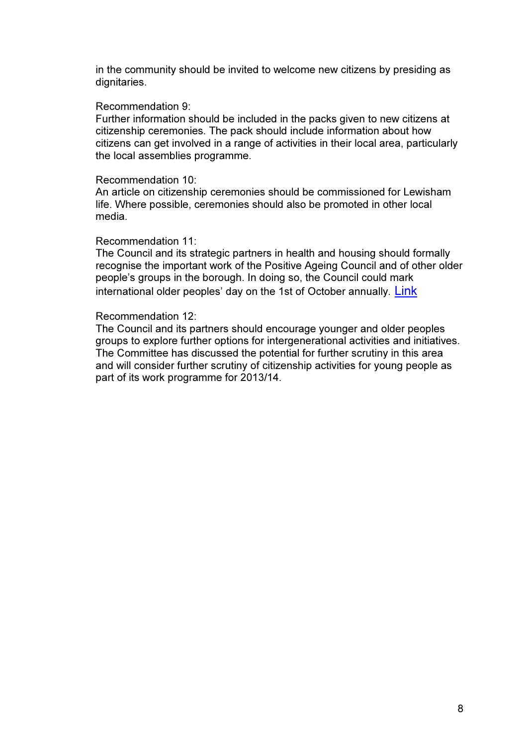in the community should be invited to welcome new citizens by presiding as dignitaries.

#### Recommendation 9:

Further information should be included in the packs given to new citizens at citizenship ceremonies. The pack should include information about how citizens can get involved in a range of activities in their local area, particularly the local assemblies programme.

#### Recommendation 10:

An article on citizenship ceremonies should be commissioned for Lewisham life. Where possible, ceremonies should also be promoted in other local media.

#### Recommendation 11:

The Council and its strategic partners in health and housing should formally recognise the important work of the Positive Ageing Council and of other older people's groups in the borough. In doing so, the Council could mark international older peoples' day on the 1st of October annually. Link

#### Recommendation 12:

The Council and its partners should encourage younger and older peoples groups to explore further options for intergenerational activities and initiatives. The Committee has discussed the potential for further scrutiny in this area and will consider further scrutiny of citizenship activities for young people as part of its work programme for 2013/14.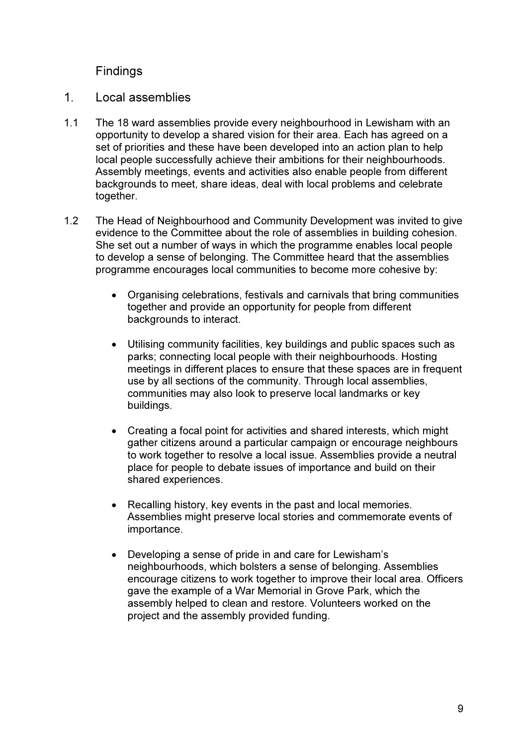# Findings

- 1. Local assemblies
- 1.1 The 18 ward assemblies provide every neighbourhood in Lewisham with an opportunity to develop a shared vision for their area. Each has agreed on a set of priorities and these have been developed into an action plan to help local people successfully achieve their ambitions for their neighbourhoods. Assembly meetings, events and activities also enable people from different backgrounds to meet, share ideas, deal with local problems and celebrate together.
- 1.2 The Head of Neighbourhood and Community Development was invited to give evidence to the Committee about the role of assemblies in building cohesion. She set out a number of ways in which the programme enables local people to develop a sense of belonging. The Committee heard that the assemblies programme encourages local communities to become more cohesive by:
	- Organising celebrations, festivals and carnivals that bring communities together and provide an opportunity for people from different backgrounds to interact.
	- Utilising community facilities, key buildings and public spaces such as parks; connecting local people with their neighbourhoods. Hosting meetings in different places to ensure that these spaces are in frequent use by all sections of the community. Through local assemblies, communities may also look to preserve local landmarks or key buildings.
	- Creating a focal point for activities and shared interests, which might gather citizens around a particular campaign or encourage neighbours to work together to resolve a local issue. Assemblies provide a neutral place for people to debate issues of importance and build on their shared experiences.
	- Recalling history, key events in the past and local memories. Assemblies might preserve local stories and commemorate events of importance.
	- Developing a sense of pride in and care for Lewisham's neighbourhoods, which bolsters a sense of belonging. Assemblies encourage citizens to work together to improve their local area. Officers gave the example of a War Memorial in Grove Park, which the assembly helped to clean and restore. Volunteers worked on the project and the assembly provided funding.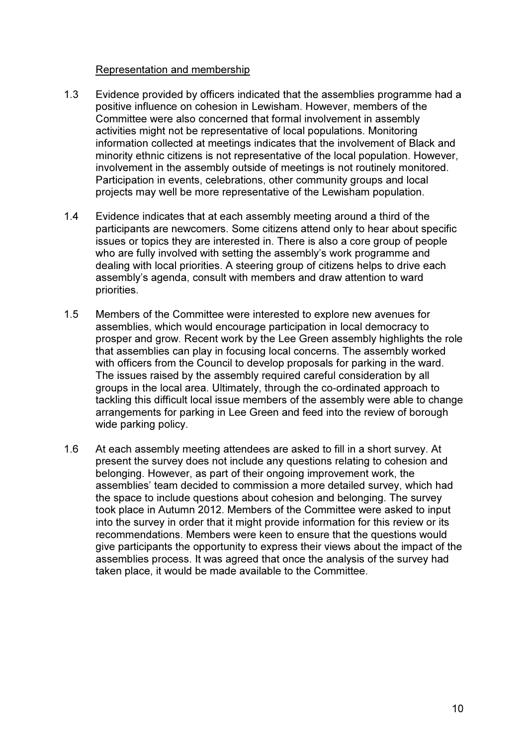# Representation and membership

- 1.3 Evidence provided by officers indicated that the assemblies programme had a positive influence on cohesion in Lewisham. However, members of the Committee were also concerned that formal involvement in assembly activities might not be representative of local populations. Monitoring information collected at meetings indicates that the involvement of Black and minority ethnic citizens is not representative of the local population. However, involvement in the assembly outside of meetings is not routinely monitored. Participation in events, celebrations, other community groups and local projects may well be more representative of the Lewisham population.
- 1.4 Evidence indicates that at each assembly meeting around a third of the participants are newcomers. Some citizens attend only to hear about specific issues or topics they are interested in. There is also a core group of people who are fully involved with setting the assembly's work programme and dealing with local priorities. A steering group of citizens helps to drive each assembly's agenda, consult with members and draw attention to ward priorities.
- 1.5 Members of the Committee were interested to explore new avenues for assemblies, which would encourage participation in local democracy to prosper and grow. Recent work by the Lee Green assembly highlights the role that assemblies can play in focusing local concerns. The assembly worked with officers from the Council to develop proposals for parking in the ward. The issues raised by the assembly required careful consideration by all groups in the local area. Ultimately, through the co-ordinated approach to tackling this difficult local issue members of the assembly were able to change arrangements for parking in Lee Green and feed into the review of borough wide parking policy.
- 1.6 At each assembly meeting attendees are asked to fill in a short survey. At present the survey does not include any questions relating to cohesion and belonging. However, as part of their ongoing improvement work, the assemblies' team decided to commission a more detailed survey, which had the space to include questions about cohesion and belonging. The survey took place in Autumn 2012. Members of the Committee were asked to input into the survey in order that it might provide information for this review or its recommendations. Members were keen to ensure that the questions would give participants the opportunity to express their views about the impact of the assemblies process. It was agreed that once the analysis of the survey had taken place, it would be made available to the Committee.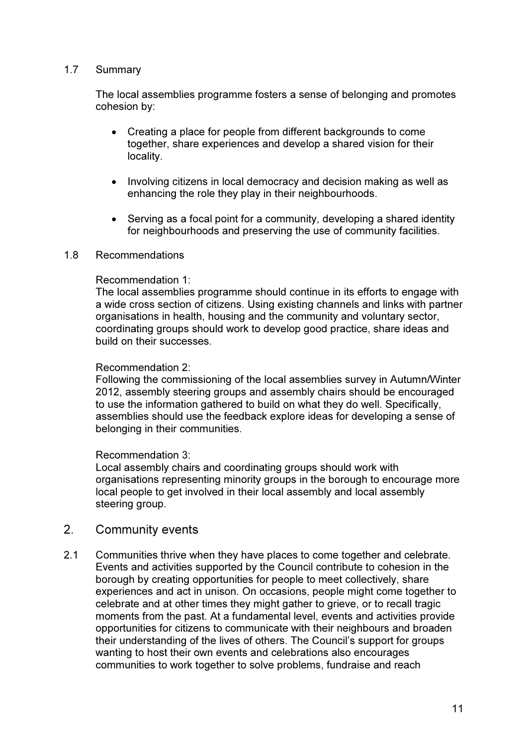# 1.7 Summary

The local assemblies programme fosters a sense of belonging and promotes cohesion by:

- Creating a place for people from different backgrounds to come together, share experiences and develop a shared vision for their locality.
- Involving citizens in local democracy and decision making as well as enhancing the role they play in their neighbourhoods.
- Serving as a focal point for a community, developing a shared identity for neighbourhoods and preserving the use of community facilities.

#### 1.8 Recommendations

#### Recommendation 1:

The local assemblies programme should continue in its efforts to engage with a wide cross section of citizens. Using existing channels and links with partner organisations in health, housing and the community and voluntary sector, coordinating groups should work to develop good practice, share ideas and build on their successes.

#### Recommendation 2:

Following the commissioning of the local assemblies survey in Autumn/Winter 2012, assembly steering groups and assembly chairs should be encouraged to use the information gathered to build on what they do well. Specifically, assemblies should use the feedback explore ideas for developing a sense of belonging in their communities.

#### Recommendation 3:

Local assembly chairs and coordinating groups should work with organisations representing minority groups in the borough to encourage more local people to get involved in their local assembly and local assembly steering group.

# 2. Community events

2.1 Communities thrive when they have places to come together and celebrate. Events and activities supported by the Council contribute to cohesion in the borough by creating opportunities for people to meet collectively, share experiences and act in unison. On occasions, people might come together to celebrate and at other times they might gather to grieve, or to recall tragic moments from the past. At a fundamental level, events and activities provide opportunities for citizens to communicate with their neighbours and broaden their understanding of the lives of others. The Council's support for groups wanting to host their own events and celebrations also encourages communities to work together to solve problems, fundraise and reach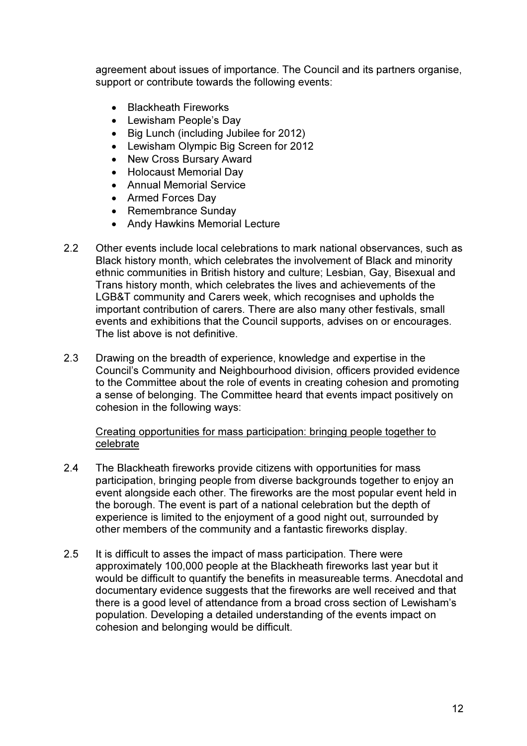agreement about issues of importance. The Council and its partners organise, support or contribute towards the following events:

- Blackheath Fireworks
- Lewisham People's Day
- Big Lunch (including Jubilee for 2012)
- Lewisham Olympic Big Screen for 2012
- New Cross Bursary Award
- Holocaust Memorial Day
- Annual Memorial Service
- Armed Forces Day
- Remembrance Sunday
- Andy Hawkins Memorial Lecture
- 2.2 Other events include local celebrations to mark national observances, such as Black history month, which celebrates the involvement of Black and minority ethnic communities in British history and culture; Lesbian, Gay, Bisexual and Trans history month, which celebrates the lives and achievements of the LGB&T community and Carers week, which recognises and upholds the important contribution of carers. There are also many other festivals, small events and exhibitions that the Council supports, advises on or encourages. The list above is not definitive.
- 2.3 Drawing on the breadth of experience, knowledge and expertise in the Council's Community and Neighbourhood division, officers provided evidence to the Committee about the role of events in creating cohesion and promoting a sense of belonging. The Committee heard that events impact positively on cohesion in the following ways:

Creating opportunities for mass participation: bringing people together to celebrate

- 2.4 The Blackheath fireworks provide citizens with opportunities for mass participation, bringing people from diverse backgrounds together to enjoy an event alongside each other. The fireworks are the most popular event held in the borough. The event is part of a national celebration but the depth of experience is limited to the enjoyment of a good night out, surrounded by other members of the community and a fantastic fireworks display.
- 2.5 It is difficult to asses the impact of mass participation. There were approximately 100,000 people at the Blackheath fireworks last year but it would be difficult to quantify the benefits in measureable terms. Anecdotal and documentary evidence suggests that the fireworks are well received and that there is a good level of attendance from a broad cross section of Lewisham's population. Developing a detailed understanding of the events impact on cohesion and belonging would be difficult.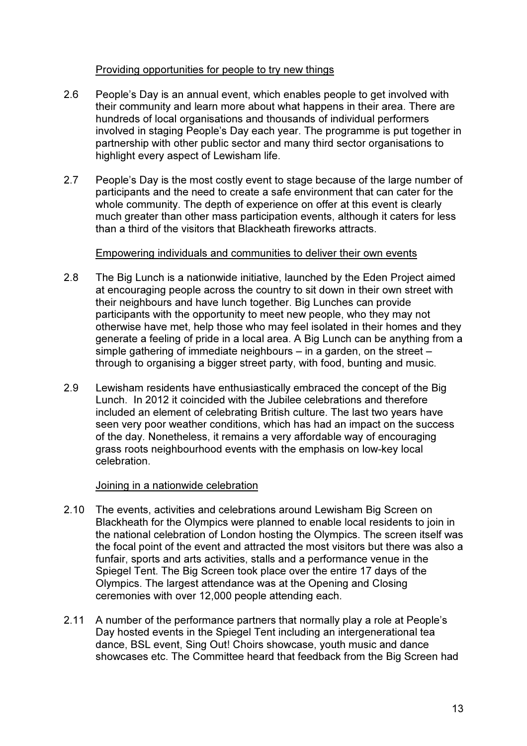# Providing opportunities for people to try new things

- 2.6 People's Day is an annual event, which enables people to get involved with their community and learn more about what happens in their area. There are hundreds of local organisations and thousands of individual performers involved in staging People's Day each year. The programme is put together in partnership with other public sector and many third sector organisations to highlight every aspect of Lewisham life.
- 2.7 People's Day is the most costly event to stage because of the large number of participants and the need to create a safe environment that can cater for the whole community. The depth of experience on offer at this event is clearly much greater than other mass participation events, although it caters for less than a third of the visitors that Blackheath fireworks attracts.

# Empowering individuals and communities to deliver their own events

- 2.8 The Big Lunch is a nationwide initiative, launched by the Eden Project aimed at encouraging people across the country to sit down in their own street with their neighbours and have lunch together. Big Lunches can provide participants with the opportunity to meet new people, who they may not otherwise have met, help those who may feel isolated in their homes and they generate a feeling of pride in a local area. A Big Lunch can be anything from a simple gathering of immediate neighbours – in a garden, on the street – through to organising a bigger street party, with food, bunting and music.
- 2.9 Lewisham residents have enthusiastically embraced the concept of the Big Lunch. In 2012 it coincided with the Jubilee celebrations and therefore included an element of celebrating British culture. The last two years have seen very poor weather conditions, which has had an impact on the success of the day. Nonetheless, it remains a very affordable way of encouraging grass roots neighbourhood events with the emphasis on low-key local celebration.

# Joining in a nationwide celebration

- 2.10 The events, activities and celebrations around Lewisham Big Screen on Blackheath for the Olympics were planned to enable local residents to join in the national celebration of London hosting the Olympics. The screen itself was the focal point of the event and attracted the most visitors but there was also a funfair, sports and arts activities, stalls and a performance venue in the Spiegel Tent. The Big Screen took place over the entire 17 days of the Olympics. The largest attendance was at the Opening and Closing ceremonies with over 12,000 people attending each.
- 2.11 A number of the performance partners that normally play a role at People's Day hosted events in the Spiegel Tent including an intergenerational tea dance, BSL event, Sing Out! Choirs showcase, youth music and dance showcases etc. The Committee heard that feedback from the Big Screen had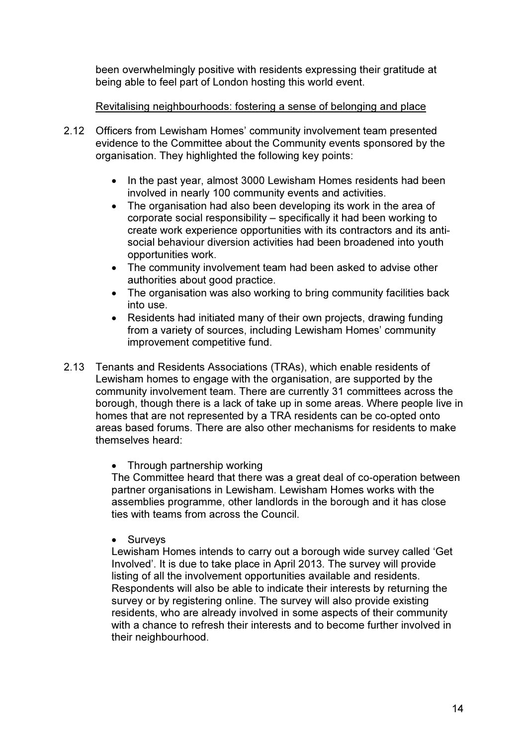been overwhelmingly positive with residents expressing their gratitude at being able to feel part of London hosting this world event.

# Revitalising neighbourhoods: fostering a sense of belonging and place

- 2.12 Officers from Lewisham Homes' community involvement team presented evidence to the Committee about the Community events sponsored by the organisation. They highlighted the following key points:
	- In the past year, almost 3000 Lewisham Homes residents had been involved in nearly 100 community events and activities.
	- The organisation had also been developing its work in the area of corporate social responsibility – specifically it had been working to create work experience opportunities with its contractors and its antisocial behaviour diversion activities had been broadened into youth opportunities work.
	- The community involvement team had been asked to advise other authorities about good practice.
	- The organisation was also working to bring community facilities back into use.
	- Residents had initiated many of their own projects, drawing funding from a variety of sources, including Lewisham Homes' community improvement competitive fund.
- 2.13 Tenants and Residents Associations (TRAs), which enable residents of Lewisham homes to engage with the organisation, are supported by the community involvement team. There are currently 31 committees across the borough, though there is a lack of take up in some areas. Where people live in homes that are not represented by a TRA residents can be co-opted onto areas based forums. There are also other mechanisms for residents to make themselves heard:

# • Through partnership working

The Committee heard that there was a great deal of co-operation between partner organisations in Lewisham. Lewisham Homes works with the assemblies programme, other landlords in the borough and it has close ties with teams from across the Council.

• Surveys

Lewisham Homes intends to carry out a borough wide survey called 'Get Involved'. It is due to take place in April 2013. The survey will provide listing of all the involvement opportunities available and residents. Respondents will also be able to indicate their interests by returning the survey or by registering online. The survey will also provide existing residents, who are already involved in some aspects of their community with a chance to refresh their interests and to become further involved in their neighbourhood.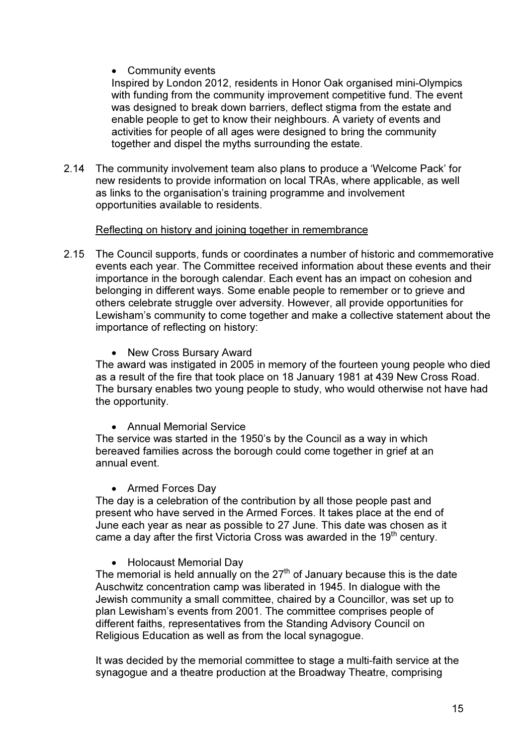# • Community events

Inspired by London 2012, residents in Honor Oak organised mini-Olympics with funding from the community improvement competitive fund. The event was designed to break down barriers, deflect stigma from the estate and enable people to get to know their neighbours. A variety of events and activities for people of all ages were designed to bring the community together and dispel the myths surrounding the estate.

2.14 The community involvement team also plans to produce a 'Welcome Pack' for new residents to provide information on local TRAs, where applicable, as well as links to the organisation's training programme and involvement opportunities available to residents.

# Reflecting on history and joining together in remembrance

- 2.15 The Council supports, funds or coordinates a number of historic and commemorative events each year. The Committee received information about these events and their importance in the borough calendar. Each event has an impact on cohesion and belonging in different ways. Some enable people to remember or to grieve and others celebrate struggle over adversity. However, all provide opportunities for Lewisham's community to come together and make a collective statement about the importance of reflecting on history:
	- New Cross Bursary Award

The award was instigated in 2005 in memory of the fourteen young people who died as a result of the fire that took place on 18 January 1981 at 439 New Cross Road. The bursary enables two young people to study, who would otherwise not have had the opportunity.

• Annual Memorial Service

The service was started in the 1950's by the Council as a way in which bereaved families across the borough could come together in grief at an annual event.

• Armed Forces Day

The day is a celebration of the contribution by all those people past and present who have served in the Armed Forces. It takes place at the end of June each year as near as possible to 27 June. This date was chosen as it came a day after the first Victoria Cross was awarded in the  $19<sup>th</sup>$  century.

• Holocaust Memorial Day

The memorial is held annually on the  $27<sup>th</sup>$  of January because this is the date Auschwitz concentration camp was liberated in 1945. In dialogue with the Jewish community a small committee, chaired by a Councillor, was set up to plan Lewisham's events from 2001. The committee comprises people of different faiths, representatives from the Standing Advisory Council on Religious Education as well as from the local synagogue.

It was decided by the memorial committee to stage a multi-faith service at the synagogue and a theatre production at the Broadway Theatre, comprising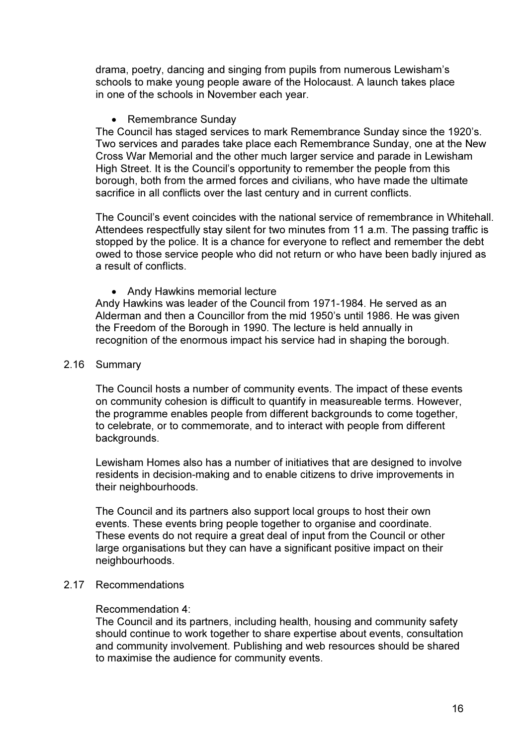drama, poetry, dancing and singing from pupils from numerous Lewisham's schools to make young people aware of the Holocaust. A launch takes place in one of the schools in November each year.

# • Remembrance Sunday

The Council has staged services to mark Remembrance Sunday since the 1920's. Two services and parades take place each Remembrance Sunday, one at the New Cross War Memorial and the other much larger service and parade in Lewisham High Street. It is the Council's opportunity to remember the people from this borough, both from the armed forces and civilians, who have made the ultimate sacrifice in all conflicts over the last century and in current conflicts.

The Council's event coincides with the national service of remembrance in Whitehall. Attendees respectfully stay silent for two minutes from 11 a.m. The passing traffic is stopped by the police. It is a chance for everyone to reflect and remember the debt owed to those service people who did not return or who have been badly injured as a result of conflicts.

• Andy Hawkins memorial lecture

Andy Hawkins was leader of the Council from 1971-1984. He served as an Alderman and then a Councillor from the mid 1950's until 1986. He was given the Freedom of the Borough in 1990. The lecture is held annually in recognition of the enormous impact his service had in shaping the borough.

#### 2.16 Summary

The Council hosts a number of community events. The impact of these events on community cohesion is difficult to quantify in measureable terms. However, the programme enables people from different backgrounds to come together, to celebrate, or to commemorate, and to interact with people from different backgrounds.

Lewisham Homes also has a number of initiatives that are designed to involve residents in decision-making and to enable citizens to drive improvements in their neighbourhoods.

The Council and its partners also support local groups to host their own events. These events bring people together to organise and coordinate. These events do not require a great deal of input from the Council or other large organisations but they can have a significant positive impact on their neighbourhoods.

# 2.17 Recommendations

# Recommendation 4:

The Council and its partners, including health, housing and community safety should continue to work together to share expertise about events, consultation and community involvement. Publishing and web resources should be shared to maximise the audience for community events.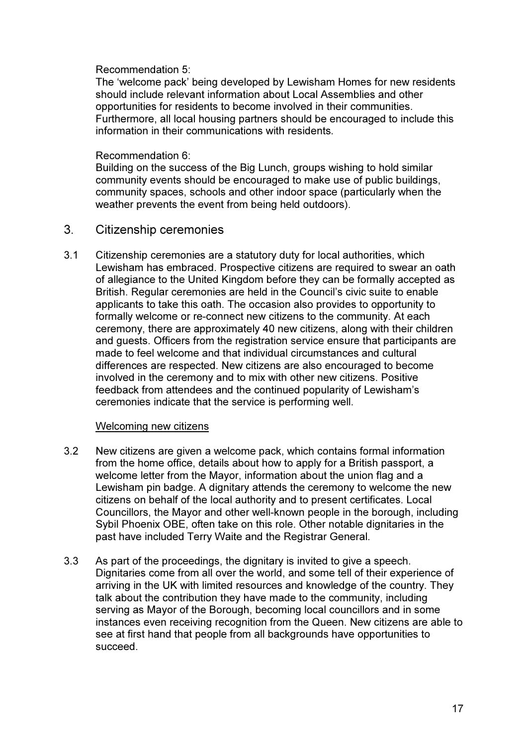# Recommendation 5:

The 'welcome pack' being developed by Lewisham Homes for new residents should include relevant information about Local Assemblies and other opportunities for residents to become involved in their communities. Furthermore, all local housing partners should be encouraged to include this information in their communications with residents.

# Recommendation 6:

Building on the success of the Big Lunch, groups wishing to hold similar community events should be encouraged to make use of public buildings, community spaces, schools and other indoor space (particularly when the weather prevents the event from being held outdoors).

# 3. Citizenship ceremonies

3.1 Citizenship ceremonies are a statutory duty for local authorities, which Lewisham has embraced. Prospective citizens are required to swear an oath of allegiance to the United Kingdom before they can be formally accepted as British. Regular ceremonies are held in the Council's civic suite to enable applicants to take this oath. The occasion also provides to opportunity to formally welcome or re-connect new citizens to the community. At each ceremony, there are approximately 40 new citizens, along with their children and guests. Officers from the registration service ensure that participants are made to feel welcome and that individual circumstances and cultural differences are respected. New citizens are also encouraged to become involved in the ceremony and to mix with other new citizens. Positive feedback from attendees and the continued popularity of Lewisham's ceremonies indicate that the service is performing well.

# Welcoming new citizens

- 3.2 New citizens are given a welcome pack, which contains formal information from the home office, details about how to apply for a British passport, a welcome letter from the Mayor, information about the union flag and a Lewisham pin badge. A dignitary attends the ceremony to welcome the new citizens on behalf of the local authority and to present certificates. Local Councillors, the Mayor and other well-known people in the borough, including Sybil Phoenix OBE, often take on this role. Other notable dignitaries in the past have included Terry Waite and the Registrar General.
- 3.3 As part of the proceedings, the dignitary is invited to give a speech. Dignitaries come from all over the world, and some tell of their experience of arriving in the UK with limited resources and knowledge of the country. They talk about the contribution they have made to the community, including serving as Mayor of the Borough, becoming local councillors and in some instances even receiving recognition from the Queen. New citizens are able to see at first hand that people from all backgrounds have opportunities to succeed.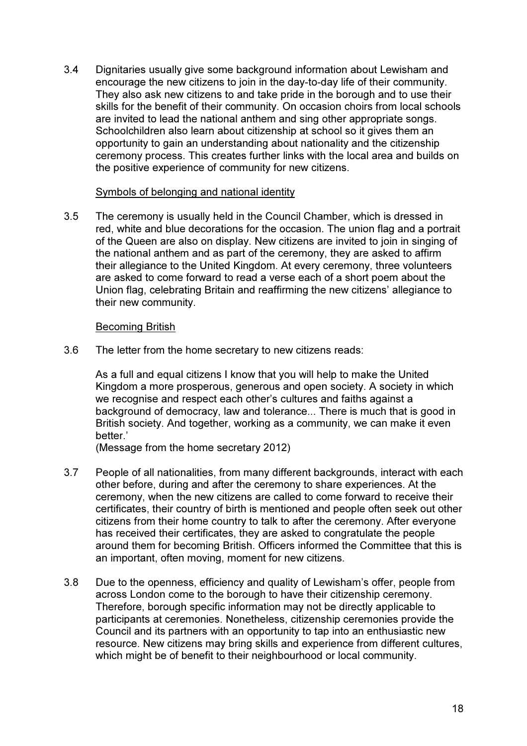3.4 Dignitaries usually give some background information about Lewisham and encourage the new citizens to join in the day-to-day life of their community. They also ask new citizens to and take pride in the borough and to use their skills for the benefit of their community. On occasion choirs from local schools are invited to lead the national anthem and sing other appropriate songs. Schoolchildren also learn about citizenship at school so it gives them an opportunity to gain an understanding about nationality and the citizenship ceremony process. This creates further links with the local area and builds on the positive experience of community for new citizens.

#### Symbols of belonging and national identity

3.5 The ceremony is usually held in the Council Chamber, which is dressed in red, white and blue decorations for the occasion. The union flag and a portrait of the Queen are also on display. New citizens are invited to join in singing of the national anthem and as part of the ceremony, they are asked to affirm their allegiance to the United Kingdom. At every ceremony, three volunteers are asked to come forward to read a verse each of a short poem about the Union flag, celebrating Britain and reaffirming the new citizens' allegiance to their new community.

# Becoming British

3.6 The letter from the home secretary to new citizens reads:

As a full and equal citizens I know that you will help to make the United Kingdom a more prosperous, generous and open society. A society in which we recognise and respect each other's cultures and faiths against a background of democracy, law and tolerance... There is much that is good in British society. And together, working as a community, we can make it even hetter<sup>'</sup>

(Message from the home secretary 2012)

- 3.7 People of all nationalities, from many different backgrounds, interact with each other before, during and after the ceremony to share experiences. At the ceremony, when the new citizens are called to come forward to receive their certificates, their country of birth is mentioned and people often seek out other citizens from their home country to talk to after the ceremony. After everyone has received their certificates, they are asked to congratulate the people around them for becoming British. Officers informed the Committee that this is an important, often moving, moment for new citizens.
- 3.8 Due to the openness, efficiency and quality of Lewisham's offer, people from across London come to the borough to have their citizenship ceremony. Therefore, borough specific information may not be directly applicable to participants at ceremonies. Nonetheless, citizenship ceremonies provide the Council and its partners with an opportunity to tap into an enthusiastic new resource. New citizens may bring skills and experience from different cultures, which might be of benefit to their neighbourhood or local community.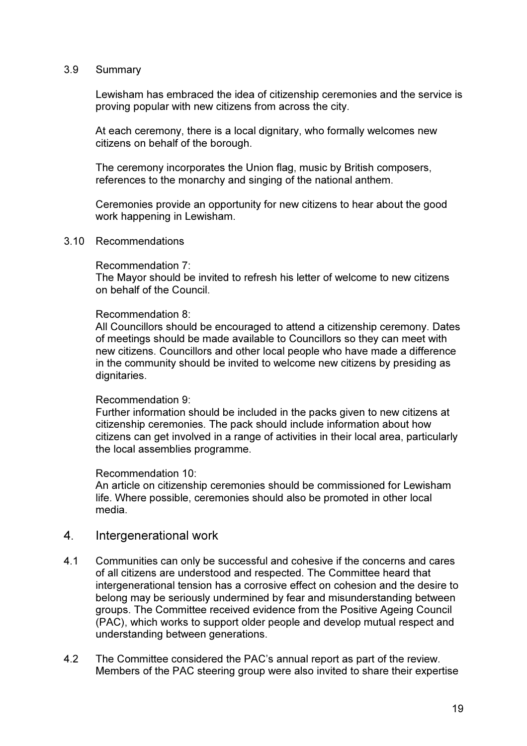#### 3.9 Summary

Lewisham has embraced the idea of citizenship ceremonies and the service is proving popular with new citizens from across the city.

At each ceremony, there is a local dignitary, who formally welcomes new citizens on behalf of the borough.

The ceremony incorporates the Union flag, music by British composers, references to the monarchy and singing of the national anthem.

Ceremonies provide an opportunity for new citizens to hear about the good work happening in Lewisham.

#### 3.10 Recommendations

#### Recommendation 7:

The Mayor should be invited to refresh his letter of welcome to new citizens on behalf of the Council.

#### Recommendation 8:

All Councillors should be encouraged to attend a citizenship ceremony. Dates of meetings should be made available to Councillors so they can meet with new citizens. Councillors and other local people who have made a difference in the community should be invited to welcome new citizens by presiding as dignitaries.

#### Recommendation 9:

Further information should be included in the packs given to new citizens at citizenship ceremonies. The pack should include information about how citizens can get involved in a range of activities in their local area, particularly the local assemblies programme.

#### Recommendation 10:

An article on citizenship ceremonies should be commissioned for Lewisham life. Where possible, ceremonies should also be promoted in other local media.

# 4. Intergenerational work

- 4.1 Communities can only be successful and cohesive if the concerns and cares of all citizens are understood and respected. The Committee heard that intergenerational tension has a corrosive effect on cohesion and the desire to belong may be seriously undermined by fear and misunderstanding between groups. The Committee received evidence from the Positive Ageing Council (PAC), which works to support older people and develop mutual respect and understanding between generations.
- 4.2 The Committee considered the PAC's annual report as part of the review. Members of the PAC steering group were also invited to share their expertise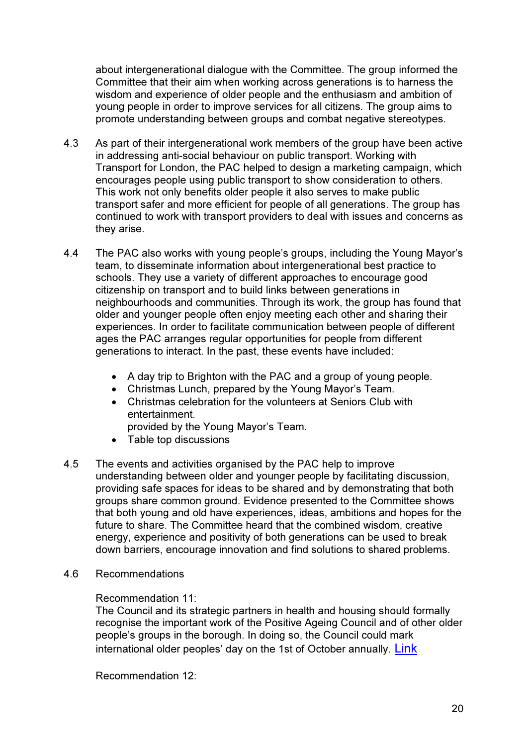about intergenerational dialogue with the Committee. The group informed the Committee that their aim when working across generations is to harness the wisdom and experience of older people and the enthusiasm and ambition of young people in order to improve services for all citizens. The group aims to promote understanding between groups and combat negative stereotypes.

- 4.3 As part of their intergenerational work members of the group have been active in addressing anti-social behaviour on public transport. Working with Transport for London, the PAC helped to design a marketing campaign, which encourages people using public transport to show consideration to others. This work not only benefits older people it also serves to make public transport safer and more efficient for people of all generations. The group has continued to work with transport providers to deal with issues and concerns as they arise.
- 4.4 The PAC also works with young people's groups, including the Young Mayor's team, to disseminate information about intergenerational best practice to schools. They use a variety of different approaches to encourage good citizenship on transport and to build links between generations in neighbourhoods and communities. Through its work, the group has found that older and younger people often enjoy meeting each other and sharing their experiences. In order to facilitate communication between people of different ages the PAC arranges regular opportunities for people from different generations to interact. In the past, these events have included:
	- A day trip to Brighton with the PAC and a group of young people.
	- Christmas Lunch, prepared by the Young Mayor's Team.
	- Christmas celebration for the volunteers at Seniors Club with entertainment.
		- provided by the Young Mayor's Team.
	- Table top discussions
- 4.5 The events and activities organised by the PAC help to improve understanding between older and younger people by facilitating discussion, providing safe spaces for ideas to be shared and by demonstrating that both groups share common ground. Evidence presented to the Committee shows that both young and old have experiences, ideas, ambitions and hopes for the future to share. The Committee heard that the combined wisdom, creative energy, experience and positivity of both generations can be used to break down barriers, encourage innovation and find solutions to shared problems.
- 4.6 Recommendations

# Recommendation 11:

The Council and its strategic partners in health and housing should formally recognise the important work of the Positive Ageing Council and of other older people's groups in the borough. In doing so, the Council could mark international older peoples' day on the 1st of October annually. Link

Recommendation 12: